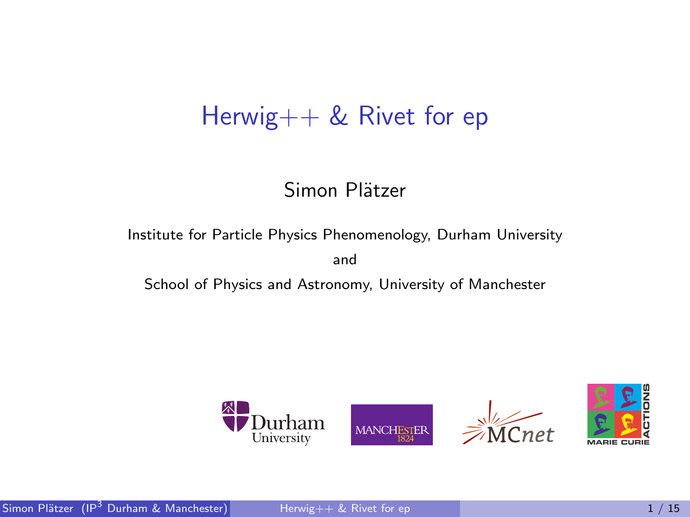## Herwig++ & Rivet for ep

### Simon Plätzer

Institute for Particle Physics Phenomenology, Durham University

<span id="page-0-0"></span>and

School of Physics and Astronomy, University of Manchester

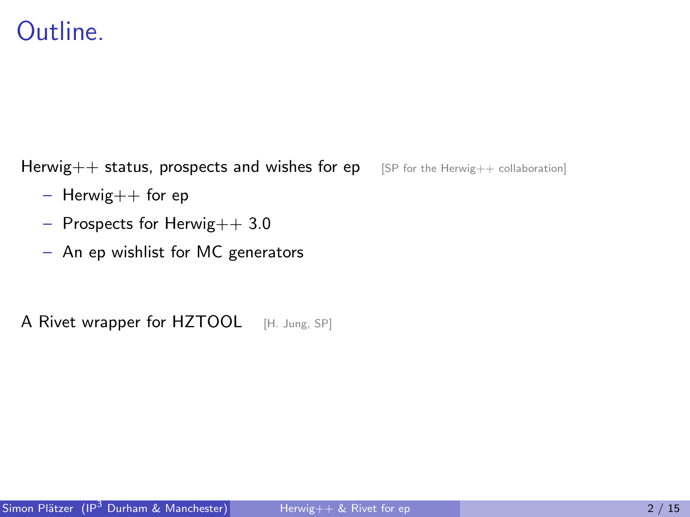## Outline.

Herwig++ status, prospects and wishes for ep [SP for the Herwig++ collaboration]

- $-$  Herwig $++$  for ep
- Prospects for Herwig++ 3.0
- An ep wishlist for MC generators

A Rivet wrapper for HZTOOL [H. Jung, SP]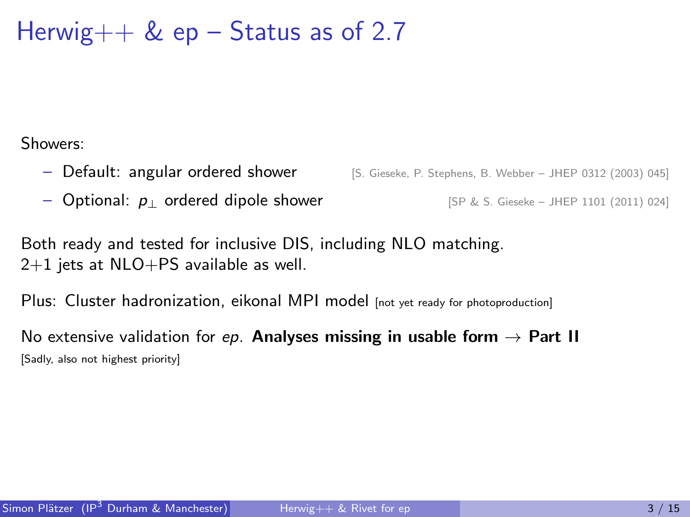Herwig $++$  & ep – Status as of 2.7

Showers:

- Default: angular ordered shower [S. Gieseke, P. Stephens, B. Webber JHEP 0312 (2003) 045]
- Optional:  $p_{\perp}$  ordered dipole shower [SP & S. Gieseke JHEP 1101 (2011) 024]

Both ready and tested for inclusive DIS, including NLO matching.  $2+1$  jets at NLO+PS available as well.

Plus: Cluster hadronization, eikonal MPI model [not yet ready for photoproduction]

No extensive validation for ep. Analyses missing in usable form  $\rightarrow$  Part II [Sadly, also not highest priority]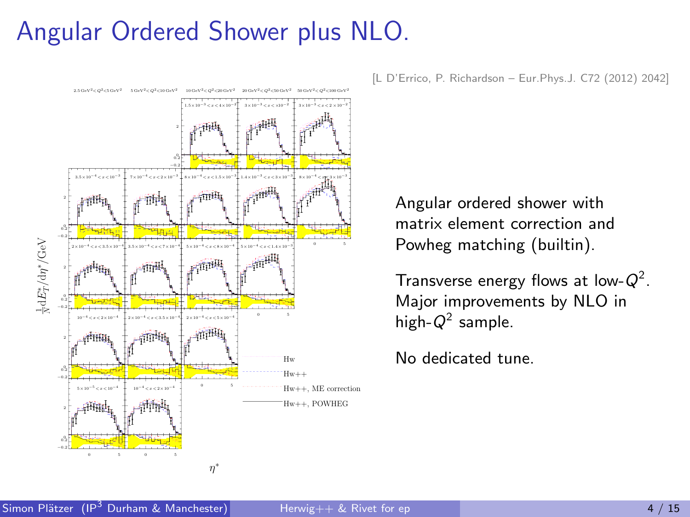## Angular Ordered Shower plus NLO.



[L D'Errico, P. Richardson – Eur.Phys.J. C72 (2012) 2042]

Angular ordered shower with matrix element correction and Powheg matching (builtin).

Transverse energy flows at low- $Q^2$ . Major improvements by NLO in high- $Q^2$  sample.

No dedicated tune.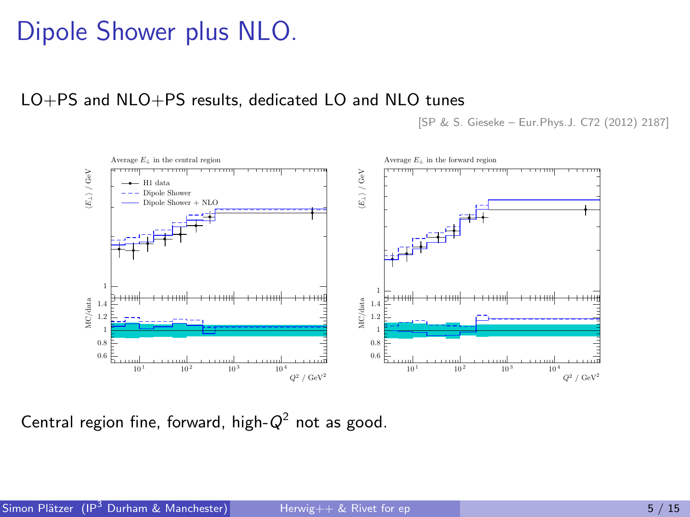## Dipole Shower plus NLO.

LO+PS and NLO+PS results, dedicated LO and NLO tunes

[SP & S. Gieseke – Eur.Phys.J. C72 (2012) 2187]



Central region fine, forward, high- $Q^2$  not as good.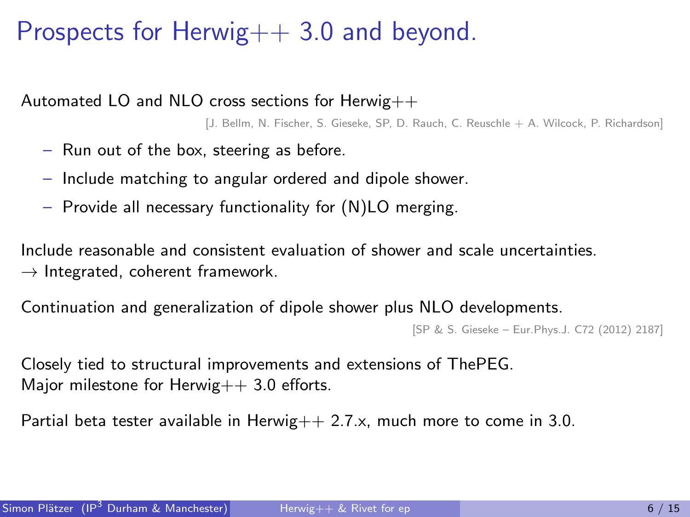## Prospects for Herwig++ 3.0 and beyond.

Automated LO and NLO cross sections for Herwig++

[J. Bellm, N. Fischer, S. Gieseke, SP, D. Rauch, C. Reuschle + A. Wilcock, P. Richardson]

- Run out of the box, steering as before.
- Include matching to angular ordered and dipole shower.
- Provide all necessary functionality for (N)LO merging.

Include reasonable and consistent evaluation of shower and scale uncertainties.  $\rightarrow$  Integrated, coherent framework.

Continuation and generalization of dipole shower plus NLO developments.

```
[SP & S. Gieseke – Eur.Phys.J. C72 (2012) 2187]
```
Closely tied to structural improvements and extensions of ThePEG. Major milestone for Herwig $++$  3.0 efforts.

Partial beta tester available in Herwig $++ 2.7 \times$ , much more to come in 3.0.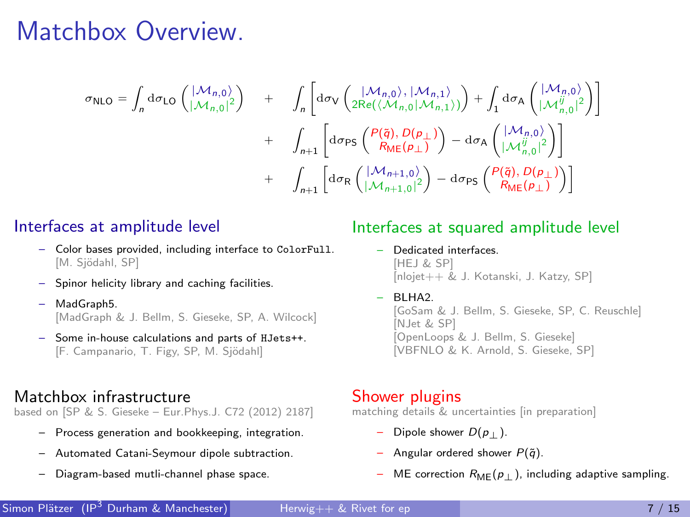## Matchbox Overview.

$$
\sigma_{\text{NLO}} = \int_{n} d\sigma_{\text{LO}} \begin{pmatrix} |\mathcal{M}_{n,0}\rangle \\ |\mathcal{M}_{n,0}|^{2} \end{pmatrix} + \int_{n} \begin{bmatrix} d\sigma_{\text{V}} \left( \frac{|\mathcal{M}_{n,0}\rangle, |\mathcal{M}_{n,1}\rangle}{2\text{Re}((\mathcal{M}_{n,0}|\mathcal{M}_{n,1})}) \right) + \int_{1} d\sigma_{\text{A}} \begin{pmatrix} |\mathcal{M}_{n,0}\rangle \\ |\mathcal{M}_{n,0}^{ij}|^{2} \end{pmatrix} \Bigg] \\ + \int_{n+1} \begin{bmatrix} d\sigma_{\text{PS}} \begin{pmatrix} P(\vec{q}), D(\rho_{\perp}) \\ \text{M}_{n,0} \end{pmatrix} - d\sigma_{\text{A}} \begin{pmatrix} |\mathcal{M}_{n,0}\rangle \\ |\mathcal{M}_{n,0}^{ij}|^{2} \end{pmatrix} \Bigg] \\ + \int_{n+1} \begin{bmatrix} d\sigma_{\text{R}} \begin{pmatrix} |\mathcal{M}_{n+1,0}\rangle \\ |\mathcal{M}_{n+1,0}|^{2} \end{pmatrix} - d\sigma_{\text{PS}} \begin{pmatrix} P(\vec{q}), D(\rho_{\perp}) \\ \text{R}_{\text{ME}}(\rho_{\perp}) \end{pmatrix} \Bigg]
$$

### Interfaces at amplitude level

- Color bases provided, including interface to ColorFull. [M. Sjödahl, SP]
- Spinor helicity library and caching facilities.
- MadGraph5. [MadGraph & J. Bellm, S. Gieseke, SP, A. Wilcock]
- Some in-house calculations and parts of HJets++. [F. Campanario, T. Figy, SP, M. Sjödahl]

### Matchbox infrastructure

based on [SP & S. Gieseke – Eur.Phys.J. C72 (2012) 2187]

- Process generation and bookkeeping, integration.
- Automated Catani-Seymour dipole subtraction.
- Diagram-based mutli-channel phase space.

### Interfaces at squared amplitude level

- Dedicated interfaces. [HEJ & SP] [nlojet++ & J. Kotanski, J. Katzy, SP]
- $-$  BLHA2

[GoSam & J. Bellm, S. Gieseke, SP, C. Reuschle] [NJet & SP] [OpenLoops & J. Bellm, S. Gieseke] [VBFNLO & K. Arnold, S. Gieseke, SP]

#### Shower plugins

matching details & uncertainties lin preparation]

- Dipole shower  $D(p_+)$ .
- Angular ordered shower  $P(\tilde{q})$ .
- ME correction  $R_{\text{MF}}(p_{\perp})$ , including adaptive sampling.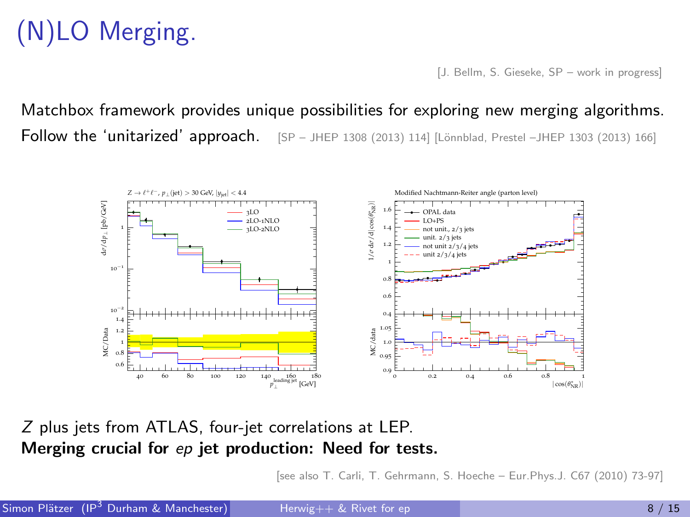# (N)LO Merging.

[J. Bellm, S. Gieseke, SP – work in progress]

Matchbox framework provides unique possibilities for exploring new merging algorithms. Follow the 'unitarized' approach.  $[SP - JHEP 1308 (2013) 114]$  [Lönnblad, Prestel –JHEP 1303 (2013) 166]



Z plus jets from ATLAS, four-jet correlations at LEP. Merging crucial for ep jet production: Need for tests.

[see also T. Carli, T. Gehrmann, S. Hoeche – Eur.Phys.J. C67 (2010) 73-97]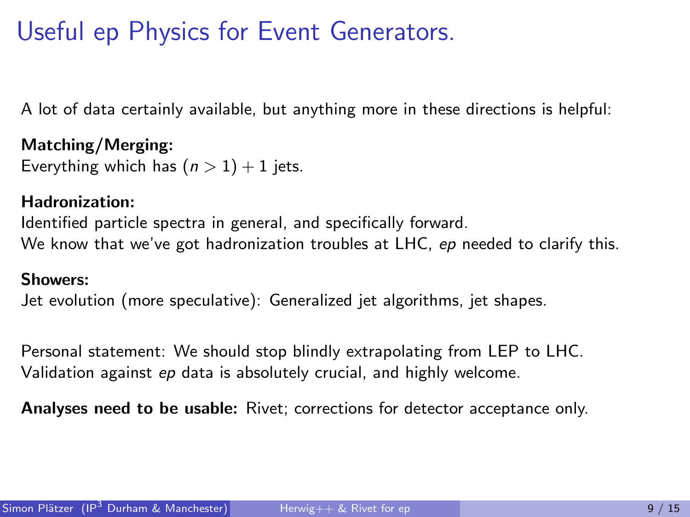## Useful ep Physics for Event Generators.

A lot of data certainly available, but anything more in these directions is helpful:

Matching/Merging: Everything which has  $(n > 1) + 1$  jets.

### Hadronization:

Identified particle spectra in general, and specifically forward. We know that we've got hadronization troubles at LHC, ep needed to clarify this.

### Showers:

Jet evolution (more speculative): Generalized jet algorithms, jet shapes.

Personal statement: We should stop blindly extrapolating from LEP to LHC. Validation against ep data is absolutely crucial, and highly welcome.

Analyses need to be usable: Rivet; corrections for detector acceptance only.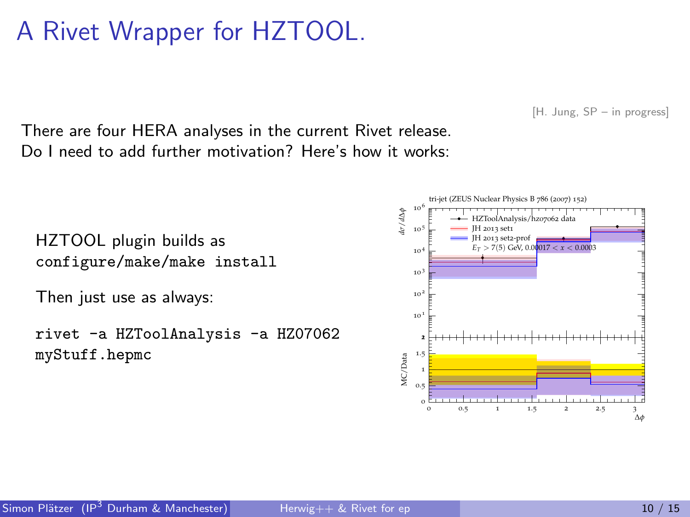## A Rivet Wrapper for HZTOOL.

[H. Jung, SP – in progress]

There are four HERA analyses in the current Rivet release. Do I need to add further motivation? Here's how it works:

HZTOOL plugin builds as configure/make/make install

Then just use as always:

rivet -a HZToolAnalysis -a HZ07062 myStuff.hepmc

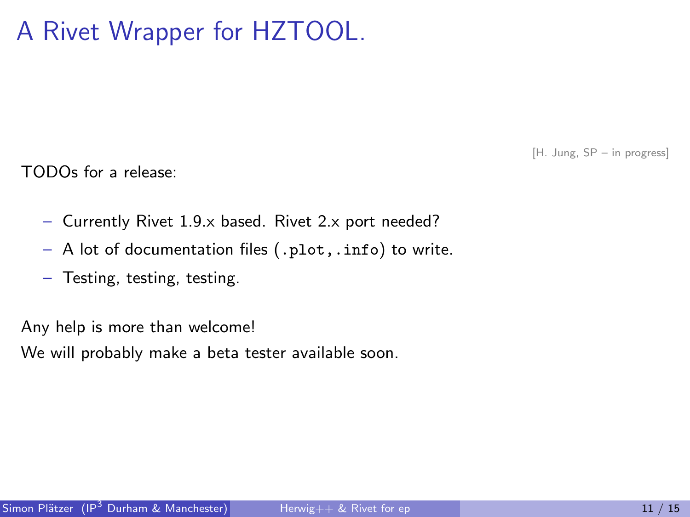## A Rivet Wrapper for HZTOOL.

[H. Jung, SP – in progress]

TODOs for a release:

- Currently Rivet 1.9.x based. Rivet 2.x port needed?
- A lot of documentation files (.plot,.info) to write.
- Testing, testing, testing.

Any help is more than welcome!

We will probably make a beta tester available soon.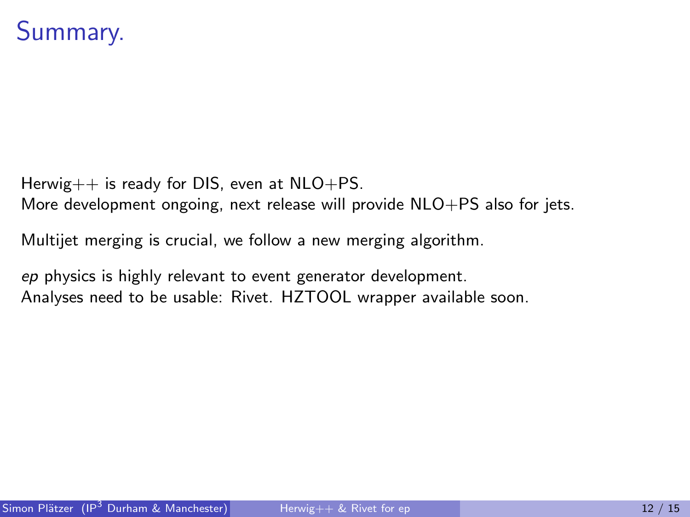## Summary.

Herwig $++$  is ready for DIS, even at  $NLO+PS$ .

More development ongoing, next release will provide NLO+PS also for jets.

Multijet merging is crucial, we follow a new merging algorithm.

ep physics is highly relevant to event generator development. Analyses need to be usable: Rivet. HZTOOL wrapper available soon.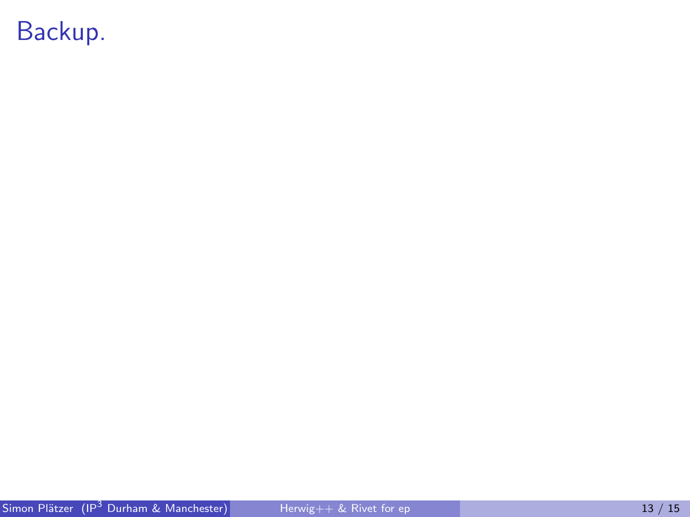## Backup.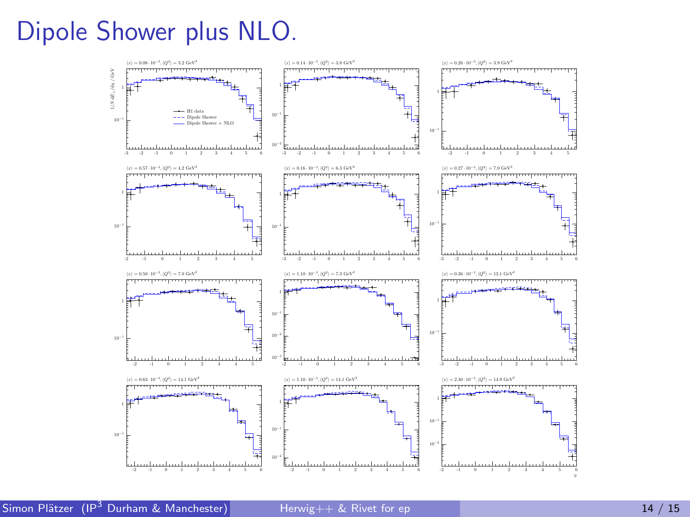## Dipole Shower plus NLO.